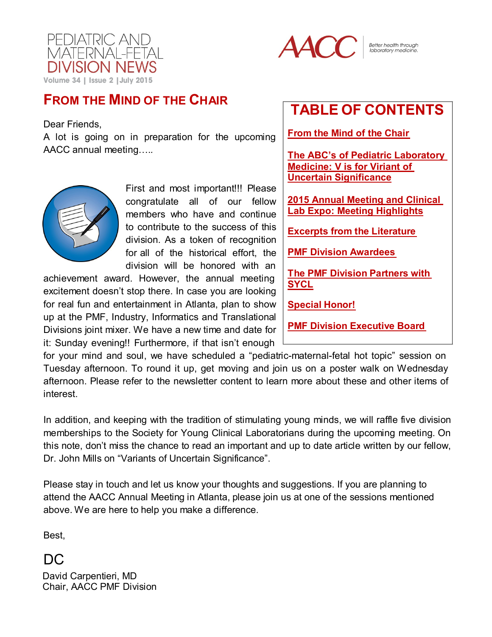



Better health through laboratory medicir

## **FROM THE MIND OF THE CHAIR**

Dear Friends,

A lot is going on in preparation for the upcoming AACC annual meeting….*.*



First and most important!!! Please congratulate all of our fellow members who have and continue to contribute to the success of this division. As a token of recognition for all of the historical effort, the division will be honored with an

achievement award. However, the annual meeting excitement doesn't stop there. In case you are looking for real fun and entertainment in Atlanta, plan to show up at the PMF, Industry, Informatics and Translational Divisions joint mixer. We have a new time and date for it: Sunday evening!! Furthermore, if that isn't enough

# <span id="page-0-0"></span>**TABLE OF CONTENTS**

**From the Mind of the [Chair](#page-0-0)**

**[The ABC's of Pediatric Laboratory](#page-1-0)  [Medicine: V is for Viriant of](#page-1-0)  [Uncertain Significance](#page-1-0)**

**[2015 Annual Meeting and Clinical](#page-5-0)  [Lab Expo: Meeting Highlights](#page-5-0)**

**Excerpts from the [Literature](#page-7-0)**

**PMF Division [Awardees](#page-6-0)**

**The PMF Division [Partners](#page-7-1) with [SYCL](#page-7-1)**

**[Special](#page-7-2) Honor!**

**PMF Division [Executive](#page-10-0) Board**

for your mind and soul, we have scheduled a "pediatric-maternal-fetal hot topic" session on Tuesday afternoon. To round it up, get moving and join us on a poster walk on Wednesday afternoon. Please refer to the newsletter content to learn more about these and other items of interest.

In addition, and keeping with the tradition of stimulating young minds, we will raffle five division memberships to the Society for Young Clinical Laboratorians during the upcoming meeting. On this note, don't miss the chance to read an important and up to date article written by our fellow, Dr. John Mills on "Variants of Uncertain Significance".

Please stay in touch and let us know your thoughts and suggestions. If you are planning to attend the AACC Annual Meeting in Atlanta, please join us at one of the sessions mentioned above. We are here to help you make a difference.

Best,

DC

David Carpentieri, MD Chair, AACC PMF Division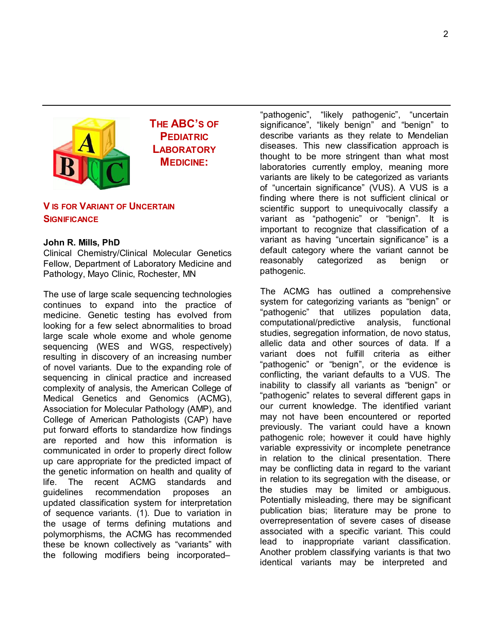<span id="page-1-0"></span>

**THE ABC'S OF PEDIATRIC LABORATORY MEDICINE:**

### **V IS FOR VARIANT OF UNCERTAIN SIGNIFICANCE**

#### **John R. Mills, PhD**

Clinical Chemistry/Clinical Molecular Genetics Fellow, Department of Laboratory Medicine and Pathology, Mayo Clinic, Rochester, MN

The use of large scale sequencing technologies continues to expand into the practice of medicine. Genetic testing has evolved from looking for a few select abnormalities to broad large scale whole exome and whole genome sequencing (WES and WGS, respectively) resulting in discovery of an increasing number of novel variants. Due to the expanding role of sequencing in clinical practice and increased complexity of analysis, the American College of Medical Genetics and Genomics (ACMG), Association for Molecular Pathology (AMP), and College of American Pathologists (CAP) have put forward efforts to standardize how findings are reported and how this information is communicated in order to properly direct follow up care appropriate for the predicted impact of the genetic information on health and quality of life. The recent ACMG standards and guidelines recommendation proposes an updated classification system for interpretation of sequence variants. [\(1\)](#page-3-0). Due to variation in the usage of terms defining mutations and polymorphisms, the ACMG has recommended these be known collectively as "variants" with the following modifiers being incorporated–

"pathogenic", "likely pathogenic", "uncertain significance", "likely benign" and "benign" to describe variants as they relate to Mendelian diseases. This new classification approach is thought to be more stringent than what most laboratories currently employ, meaning more variants are likely to be categorized as variants of "uncertain significance" (VUS). A VUS is a finding where there is not sufficient clinical or scientific support to unequivocally classify a variant as "pathogenic" or "benign". It is important to recognize that classification of a variant as having "uncertain significance" is a default category where the variant cannot be reasonably categorized as benign or pathogenic.

The ACMG has outlined a comprehensive system for categorizing variants as "benign" or "pathogenic" that utilizes population data, computational/predictive analysis, functional studies, segregation information, de novo status, allelic data and other sources of data. If a variant does not fulfill criteria as either "pathogenic" or "benign", or the evidence is conflicting, the variant defaults to a VUS. The inability to classify all variants as "benign" or "pathogenic" relates to several different gaps in our current knowledge. The identified variant may not have been encountered or reported previously. The variant could have a known pathogenic role; however it could have highly variable expressivity or incomplete penetrance in relation to the clinical presentation. There may be conflicting data in regard to the variant in relation to its segregation with the disease, or the studies may be limited or ambiguous. Potentially misleading, there may be significant publication bias; literature may be prone to overrepresentation of severe cases of disease associated with a specific variant. This could lead to inappropriate variant classification. Another problem classifying variants is that two identical variants may be interpreted and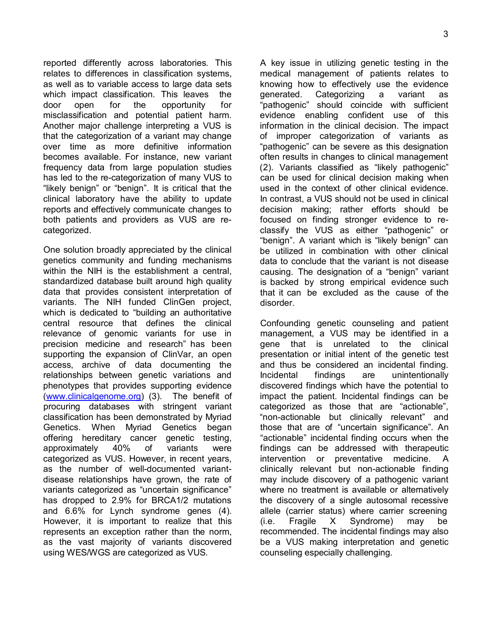reported differently across laboratories. This relates to differences in classification systems, as well as to variable access to large data sets which impact classification. This leaves the door open for the opportunity for misclassification and potential patient harm. Another major challenge interpreting a VUS is that the categorization of a variant may change over time as more definitive information becomes available. For instance, new variant frequency data from large population studies has led to the re-categorization of many VUS to "likely benign" or "benign". It is critical that the clinical laboratory have the ability to update reports and effectively communicate changes to both patients and providers as VUS are recategorized.

One solution broadly appreciated by the clinical genetics community and funding mechanisms within the NIH is the establishment a central. standardized database built around high quality data that provides consistent interpretation of variants. The NIH funded ClinGen project, which is dedicated to "building an authoritative central resource that defines the clinical relevance of genomic variants for use in precision medicine and research" has been supporting the expansion of ClinVar, an open access, archive of data documenting the relationships between genetic variations and phenotypes that provides supporting evidence [\(www.clinicalgenome.org\)](http://www.clinicalgenome.org/) (3). The benefit of procuring databases with stringent variant classification has been demonstrated by Myriad Genetics. When Myriad Genetics began offering hereditary cancer genetic testing, approximately 40% of variants were categorized as VUS. However, in recent years, as the number of well-documented variantdisease relationships have grown, the rate of variants categorized as "uncertain significance" has dropped to 2.9% for BRCA1/2 mutations and 6.6% for Lynch syndrome genes [\(4\)](#page-3-1). However, it is important to realize that this represents an exception rather than the norm, as the vast majority of variants discovered using WES/WGS are categorized as VUS.

A key issue in utilizing genetic testing in the medical management of patients relates to knowing how to effectively use the evidence generated. Categorizing a variant as "pathogenic" should coincide with sufficient evidence enabling confident use of this information in the clinical decision. The impact of improper categorization of variants as "pathogenic" can be severe as this designation often results in changes to clinical management [\(2\)](#page-3-2). Variants classified as "likely pathogenic" can be used for clinical decision making when used in the context of other clinical evidence. In contrast, a VUS should not be used in clinical decision making; rather efforts should be focused on finding stronger evidence to reclassify the VUS as either "pathogenic" or "benign". A variant which is "likely benign" can be utilized in combination with other clinical data to conclude that the variant is not disease causing. The designation of a "benign" variant is backed by strong empirical evidence such that it can be excluded as the cause of the disorder.

Confounding genetic counseling and patient management, a VUS may be identified in a gene that is unrelated to the clinical presentation or initial intent of the genetic test and thus be considered an incidental finding. Incidental findings are unintentionally discovered findings which have the potential to impact the patient. Incidental findings can be categorized as those that are "actionable", "non-actionable but clinically relevant" and those that are of "uncertain significance". An "actionable" incidental finding occurs when the findings can be addressed with therapeutic intervention or preventative medicine. A clinically relevant but non-actionable finding may include discovery of a pathogenic variant where no treatment is available or alternatively the discovery of a single autosomal recessive allele (carrier status) where carrier screening (i.e. Fragile X Syndrome) may be recommended. The incidental findings may also be a VUS making interpretation and genetic counseling especially challenging.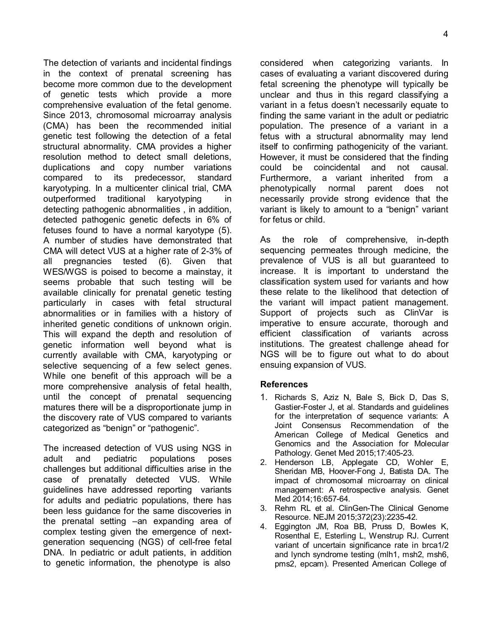The detection of variants and incidental findings in the context of prenatal screening has become more common due to the development of genetic tests which provide a more comprehensive evaluation of the fetal genome. Since 2013, chromosomal microarray analysis (CMA) has been the recommended initial genetic test following the detection of a fetal structural abnormality. CMA provides a higher resolution method to detect small deletions, duplications and copy number variations compared to its predecessor, standard karyotyping. In a multicenter clinical trial, CMA outperformed traditional karyotyping in detecting pathogenic abnormalities , in addition, detected pathogenic genetic defects in 6% of fetuses found to have a normal karyotype [\(5\)](#page-4-0). A number of studies have demonstrated that CMA will detect VUS at a higher rate of 2-3% of all pregnancies tested [\(6\)](#page-4-1). Given that WES/WGS is poised to become a mainstay, it seems probable that such testing will be available clinically for prenatal genetic testing particularly in cases with fetal structural abnormalities or in families with a history of inherited genetic conditions of unknown origin. This will expand the depth and resolution of genetic information well beyond what is currently available with CMA, karyotyping or selective sequencing of a few select genes. While one benefit of this approach will be a more comprehensive analysis of fetal health, until the concept of prenatal sequencing matures there will be a disproportionate jump in the discovery rate of VUS compared to variants categorized as "benign" or "pathogenic".

The increased detection of VUS using NGS in adult and pediatric populations poses challenges but additional difficulties arise in the case of prenatally detected VUS. While guidelines have addressed reporting variants for adults and pediatric populations, there has been less guidance for the same discoveries in the prenatal setting –an expanding area of complex testing given the emergence of nextgeneration sequencing (NGS) of cell-free fetal DNA. In pediatric or adult patients, in addition to genetic information, the phenotype is also

considered when categorizing variants. In cases of evaluating a variant discovered during fetal screening the phenotype will typically be unclear and thus in this regard classifying a variant in a fetus doesn't necessarily equate to finding the same variant in the adult or pediatric population. The presence of a variant in a fetus with a structural abnormality may lend itself to confirming pathogenicity of the variant. However, it must be considered that the finding could be coincidental and not causal. Furthermore, a variant inherited from a phenotypically normal parent does not necessarily provide strong evidence that the variant is likely to amount to a "benign" variant for fetus or child.

As the role of comprehensive, in-depth sequencing permeates through medicine, the prevalence of VUS is all but guaranteed to increase. It is important to understand the classification system used for variants and how these relate to the likelihood that detection of the variant will impact patient management. Support of projects such as ClinVar is imperative to ensure accurate, thorough and efficient classification of variants across institutions. The greatest challenge ahead for NGS will be to figure out what to do about ensuing expansion of VUS.

#### **References**

- <span id="page-3-0"></span>1. Richards S, Aziz N, Bale S, Bick D, Das S, Gastier-Foster J, et al. Standards and guidelines for the interpretation of sequence variants: A Joint Consensus Recommendation of the American College of Medical Genetics and Genomics and the Association for Molecular Pathology. Genet Med 2015;17:405-23.
- <span id="page-3-2"></span>2. Henderson LB, Applegate CD, Wohler E, Sheridan MB, Hoover-Fong J, Batista DA. The impact of chromosomal microarray on clinical management: A retrospective analysis. Genet Med 2014;16:657-64.
- <span id="page-3-1"></span>3. Rehm RL et al. ClinGen-The Clinical Genome Resource. NEJM 2015;372(23):2235-42.
- 4. Eggington JM, Roa BB, Pruss D, Bowles K, Rosenthal E, Esterling L, Wenstrup RJ. Current variant of uncertain significance rate in brca1/2 and lynch syndrome testing (mlh1, msh2, msh6, pms2, epcam). Presented American College of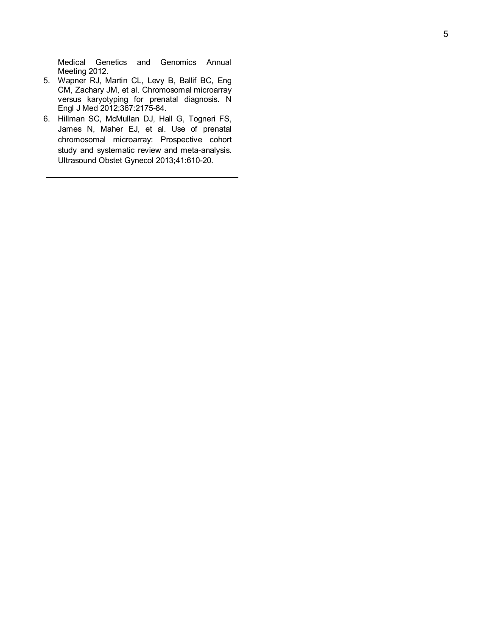Medical Genetics and Genomics Annual Meeting 2012.

- <span id="page-4-0"></span>5. Wapner RJ, Martin CL, Levy B, Ballif BC, Eng CM, Zachary JM, et al. Chromosomal microarray versus karyotyping for prenatal diagnosis. N Eng l J M ed 2012 ;367 :2175 -84.
- <span id="page-4-1"></span>6. Hillman SC, McMullan DJ, Hall G, Togneri FS, James N, Maher EJ, et al. Use of prenatal chromosomal microarray: Prospective cohort study and systematic review and meta-analysis. Ultrasound Obstet Gynecol 2013;41:610-20.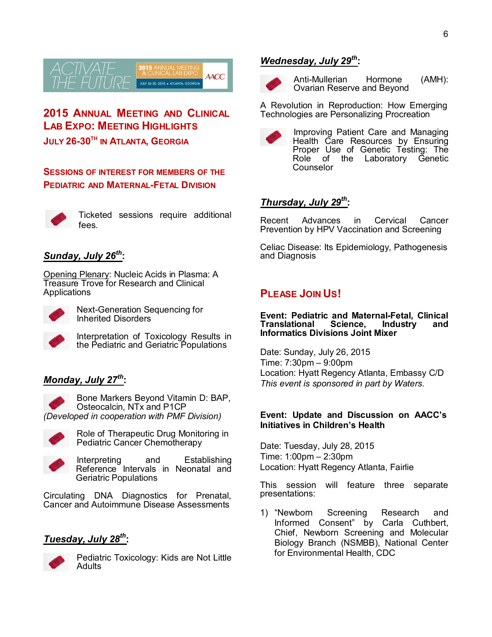

<span id="page-5-0"></span>**2015 ANNUAL MEETING AND CLINICAL LAB EXPO: MEETING HIGHLIGHTS JULY 26-30TH IN ATLANTA, GEORGIA**

**SESSIONS OF INTEREST FOR MEMBERS OF THE PEDIATRIC AND MATERNAL-FETAL DIVISION**



Ticketed sessions require additional fees.

## *Sunday, July 26th* **:**

Opening Plenary: Nucleic Acids in Plasma: A Treasure Trove for Research and Clinical Applications



Next-Generation Sequencing for Inherited Disorders

Interpretation of Toxicology Results in the Pediatric and Geriatric Populations

## *Monday, July 27th* **:**



Bone Markers Beyond Vitamin D: BAP, Osteocalcin, NTx and P1CP *(Developed in cooperation with PMF Division)*



Role of Therapeutic Drug Monitoring in Pediatric Cancer Chemotherapy

Interpreting and Establishing Reference Intervals in Neonatal and Geriatric Populations

Circulating DNA Diagnostics for Prenatal, Cancer and Autoimmune Disease Assessments

## *Tuesday, July 28th* **:**



Pediatric Toxicology: Kids are Not Little **Adults** 

## *Wednesday, July 29th* **:**



Anti-Mullerian Hormone (AMH): Ovarian Reserve and Beyond

A Revolution in Reproduction: How Emerging Technologies are Personalizing Procreation



Improving Patient Care and Managing Health Care Resources by Ensuring Proper Use of Genetic Testing: The Role of the Laboratory Genetic **Counselor** 

## *Thursday, July 29th* **:**

Recent Advances in Cervical Cancer Prevention by HPV Vaccination and Screening

Celiac Disease: Its Epidemiology, Pathogenesis and Diagnosis

## **PLEASE JOIN US!**

**Event: Pediatric and Maternal-Fetal, Clinical Translational Science, Industry and Informatics Divisions Joint Mixer**

Date: Sunday, July 26, 2015 Time: 7:30pm – 9:00pm Location: Hyatt Regency Atlanta, Embassy C/D *This event is sponsored in part by Waters.*

#### **Event: Update and Discussion on AACC's Initiatives in Children's Health**

Date: Tuesday, July 28, 2015 Time: 1:00pm – 2:30pm Location: Hyatt Regency Atlanta, Fairlie

This session will feature three separate presentations:

1) "Newborn Screening Research and Informed Consent" by Carla Cuthbert, Chief, Newborn Screening and Molecular Biology Branch (NSMBB), National Center for Environmental Health, CDC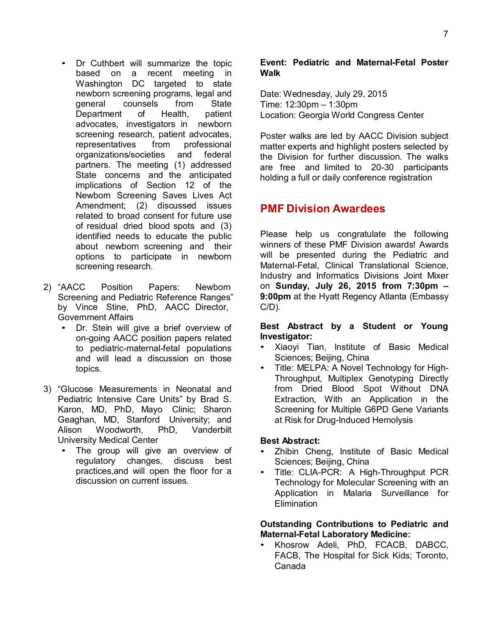- Dr Cuthbert will summarize the topic based on a recent meeting in Washington DC targeted to state newborn screening programs, legal and general counsels from State Department of Health, patient advocates, investigators in newborn screening research, patient advocates, representatives from professional organizations/societies and federal partners. The meeting (1) addressed State concerns and the anticipated implications of Section 12 of the Newborn Screening Saves Lives Act Amendment; (2) discussed issues related to broad consent for future use of residual dried blood spots and (3) identified needs to educate the public about newborn screening and their options to participate in newborn screening research.
- 2) "AACC Position Papers: Newborn Screening and Pediatric Reference Ranges" by Vince Stine, PhD, AACC Director, Government Affairs
	- Dr. Stein will give a brief overview of on-going AACC position papers related to pediatric-maternal-fetal populations and will lead a discussion on those topics.
- 3) "Glucose Measurements in Neonatal and Pediatric Intensive Care Units" by Brad S. Karon, MD, PhD, Mayo Clinic; Sharon Geaghan, MD, Stanford University; and<br>Alison Woodworth, PhD, Vanderbilt Alison Woodworth, PhD, Vanderbilt University Medical Center
	- The group will give an overview of regulatory changes, discuss best practices,and will open the floor for a discussion on current issues.

#### **Event: Pediatric and Maternal-Fetal Poster Walk**

Date: Wednesday, July 29, 2015 Time: 12:30pm – 1:30pm Location: Georgia World Congress Center

Poster walks are led by AACC Division subject matter experts and highlight posters selected by the Division for further discussion. The walks are free and limited to 20-30 participants holding a full or daily conference registration

## <span id="page-6-0"></span>**PMF Division Awardees**

Please help us congratulate the following winners of these PMF Division awards! Awards will be presented during the Pediatric and Maternal-Fetal, Clinical Translational Science, Industry and Informatics Divisions Joint Mixer on **Sunday, July 26, 2015 from 7:30pm – 9:00pm** at the Hyatt Regency Atlanta (Embassy C/D)*.*

#### **Best Abstract by a Student or Young Investigator:**

- Xiaoyi Tian, Institute of Basic Medical Sciences; Beijing, China
- Title: MELPA: A Novel Technology for High-Throughput, Multiplex Genotyping Directly from Dried Blood Spot Without DNA Extraction, With an Application in the Screening for Multiple G6PD Gene Variants at Risk for Drug-Induced Hemolysis

#### **Best Abstract:**

- Zhibin Cheng, Institute of Basic Medical Sciences; Beijing, China
- Title: CLIA-PCR: A High-Throughput PCR Technology for Molecular Screening with an Application in Malaria Surveillance for **Elimination**

#### **Outstanding Contributions to Pediatric and Maternal-Fetal Laboratory Medicine:**

• Khosrow Adeli, PhD, FCACB, DABCC, FACB, The Hospital for Sick Kids; Toronto, Canada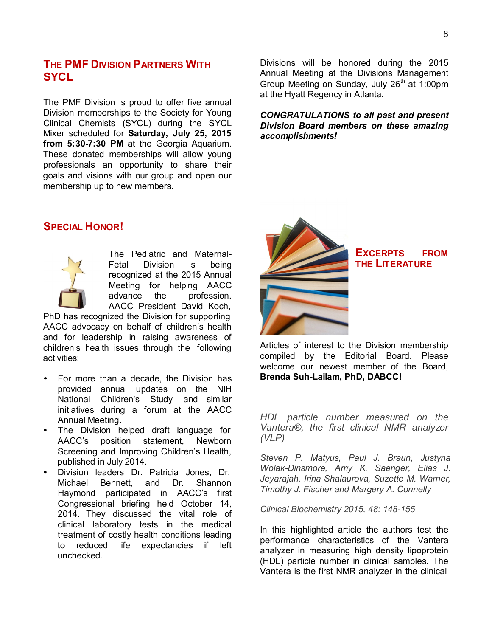## <span id="page-7-1"></span>**THE PMF DIVISION PARTNERS WITH SYCL**

The PMF Division is proud to offer five annual Division memberships to the Society for Young Clinical Chemists (SYCL) during the SYCL Mixer scheduled for **Saturday, July 25, 2015 from 5:30-7:30 PM** at the Georgia Aquarium. These donated memberships will allow young professionals an opportunity to share their goals and visions with our group and open our membership up to new members.

Divisions will be honored during the 2015 Annual Meeting at the Divisions Management Group Meeting on Sunday, July  $26<sup>th</sup>$  at 1:00pm at the Hyatt Regency in Atlanta.

*CONGRATULATIONS to all past and present Division Board members on these amazing accomplishments!*

## <span id="page-7-2"></span>**SPECIAL HONOR!**



The Pediatric and Maternal-Fetal Division is being recognized at the 2015 Annual Meeting for helping AACC advance the profession. AACC President David Koch,

PhD has recognized the Division for supporting AACC advocacy on behalf of children's health and for leadership in raising awareness of children's health issues through the following activities:

- For more than a decade, the Division has provided annual updates on the NIH National Children's Study and similar initiatives during a forum at the AACC Annual Meeting.
- The Division helped draft language for AACC's position statement, Newborn Screening and Improving Children's Health, published in July 2014.
- Division leaders Dr. Patricia Jones, Dr. Michael Bennett, and Dr. Haymond participated in AACC's first Congressional briefing held October 14, 2014. They discussed the vital role of clinical laboratory tests in the medical treatment of costly health conditions leading to reduced life expectancies if left unchecked.

<span id="page-7-0"></span>

**EXCERPTS FROM THE LITERATURE**

Articles of interest to the Division membership compiled by the Editorial Board. Please welcome our newest member of the Board, **Brenda Suh-Lailam, PhD, DABCC!**

*HDL particle number measured on the Vantera®, the first clinical NMR analyzer (VLP)*

*Steven P. Matyus, Paul J. Braun, Justyna Wolak-Dinsmore, Amy K. Saenger, Elias J. Jeyarajah, Irina Shalaurova, Suzette M. Warner, Timothy J. Fischer and Margery A. Connelly*

*Clinical Biochemistry 2015, 48: 148-155*

In this highlighted article the authors test the performance characteristics of the Vantera analyzer in measuring high density lipoprotein (HDL) particle number in clinical samples. The Vantera is the first NMR analyzer in the clinical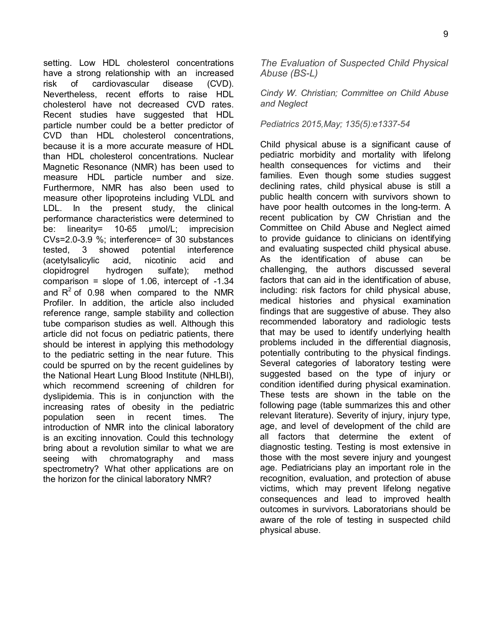setting. Low HDL cholesterol concentrations have a strong relationship with an increased risk of cardiovascular disease (CVD). Nevertheless, recent efforts to raise HDL cholesterol have not decreased CVD rates. Recent studies have suggested that HDL particle number could be a better predictor of CVD than HDL cholesterol concentrations, because it is a more accurate measure of HDL than HDL cholesterol concentrations. Nuclear Magnetic Resonance (NMR) has been used to measure HDL particle number and size. Furthermore, NMR has also been used to measure other lipoproteins including VLDL and LDL. In the present study, the clinical performance characteristics were determined to be: linearity= 10-65 µmol/L; imprecision CVs=2.0-3.9 %; interference= of 30 substances tested, 3 showed potential interference (acetylsalicylic acid, nicotinic acid and clopidrogrel hydrogen sulfate); method comparison = slope of  $1.06$ , intercept of  $-1.34$ and  $R^2$  of 0.98 when compared to the NMR Profiler. In addition, the article also included reference range, sample stability and collection tube comparison studies as well. Although this article did not focus on pediatric patients, there should be interest in applying this methodology to the pediatric setting in the near future. This could be spurred on by the recent guidelines by the National Heart Lung Blood Institute (NHLBI), which recommend screening of children for dyslipidemia. This is in conjunction with the increasing rates of obesity in the pediatric population seen in recent times. The introduction of NMR into the clinical laboratory is an exciting innovation. Could this technology bring about a revolution similar to what we are seeing with chromatography and mass spectrometry? What other applications are on the horizon for the clinical laboratory NMR?

*The Evaluation of Suspected Child Physical Abuse (BS-L)*

*Cindy W. Christian; Committee on Child Abuse and Neglect*

#### *Pediatrics 2015,May; 135(5):e1337-54*

Child physical abuse is a significant cause of pediatric morbidity and mortality with lifelong health consequences for victims and their families. Even though some studies suggest declining rates, child physical abuse is still a public health concern with survivors shown to have poor health outcomes in the long-term. A recent publication by CW Christian and the Committee on Child Abuse and Neglect aimed to provide guidance to clinicians on identifying and evaluating suspected child physical abuse. As the identification of abuse can be challenging, the authors discussed several factors that can aid in the identification of abuse, including: risk factors for child physical abuse, medical histories and physical examination findings that are suggestive of abuse. They also recommended laboratory and radiologic tests that may be used to identify underlying health problems included in the differential diagnosis, potentially contributing to the physical findings. Several categories of laboratory testing were suggested based on the type of injury or condition identified during physical examination. These tests are shown in the table on the following page (table summarizes this and other relevant literature). Severity of injury, injury type, age, and level of development of the child are all factors that determine the extent of diagnostic testing. Testing is most extensive in those with the most severe injury and youngest age. Pediatricians play an important role in the recognition, evaluation, and protection of abuse victims, which may prevent lifelong negative consequences and lead to improved health outcomes in survivors. Laboratorians should be aware of the role of testing in suspected child physical abuse.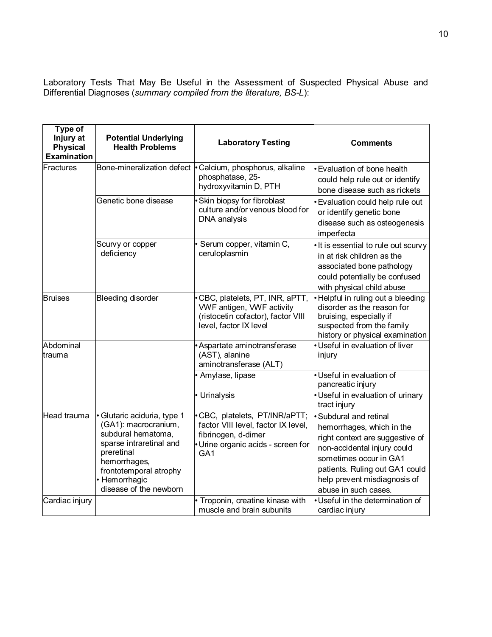Laboratory Tests That May Be Useful in the Assessment of Suspected Physical Abuse and Differential Diagnoses (*summary compiled from the literature, BS-L*):

| Type of<br>Injury at<br><b>Physical</b><br><b>Examination</b> | <b>Potential Underlying</b><br><b>Health Problems</b>                                                                                                                                                   | <b>Laboratory Testing</b>                                                                                                                           | <b>Comments</b>                                                                                                                                                                                                                                |
|---------------------------------------------------------------|---------------------------------------------------------------------------------------------------------------------------------------------------------------------------------------------------------|-----------------------------------------------------------------------------------------------------------------------------------------------------|------------------------------------------------------------------------------------------------------------------------------------------------------------------------------------------------------------------------------------------------|
| Fractures                                                     | Bone-mineralization defect                                                                                                                                                                              | · Calcium, phosphorus, alkaline<br>phosphatase, 25-<br>hydroxyvitamin D, PTH                                                                        | · Evaluation of bone health<br>could help rule out or identify<br>bone disease such as rickets                                                                                                                                                 |
|                                                               | Genetic bone disease                                                                                                                                                                                    | Skin biopsy for fibroblast<br>culture and/or venous blood for<br>DNA analysis                                                                       | Evaluation could help rule out<br>or identify genetic bone<br>disease such as osteogenesis<br>imperfecta                                                                                                                                       |
|                                                               | Scurvy or copper<br>deficiency                                                                                                                                                                          | Serum copper, vitamin C,<br>ceruloplasmin                                                                                                           | It is essential to rule out scurvy<br>in at risk children as the<br>associated bone pathology<br>could potentially be confused<br>with physical child abuse                                                                                    |
| <b>Bruises</b>                                                | <b>Bleeding disorder</b>                                                                                                                                                                                | CBC, platelets, PT, INR, aPTT,<br>VWF antigen, VWF activity<br>(ristocetin cofactor), factor VIII<br>level, factor IX level                         | Helpful in ruling out a bleeding<br>disorder as the reason for<br>bruising, especially if<br>suspected from the family<br>history or physical examination                                                                                      |
| Abdominal<br>trauma                                           |                                                                                                                                                                                                         | Aspartate aminotransferase<br>(AST), alanine<br>aminotransferase (ALT)                                                                              | Useful in evaluation of liver<br>injury                                                                                                                                                                                                        |
|                                                               |                                                                                                                                                                                                         | Amylase, lipase                                                                                                                                     | Useful in evaluation of<br>pancreatic injury                                                                                                                                                                                                   |
|                                                               |                                                                                                                                                                                                         | • Urinalysis                                                                                                                                        | · Useful in evaluation of urinary<br>tract injury                                                                                                                                                                                              |
| Head trauma                                                   | · Glutaric aciduria, type 1<br>(GA1): macrocranium,<br>subdural hematoma,<br>sparse intraretinal and<br>preretinal<br>hemorrhages,<br>frontotemporal atrophy<br>• Hemorrhagic<br>disease of the newborn | CBC, platelets, PT/INR/aPTT;<br>factor VIII level, factor IX level,<br>fibrinogen, d-dimer<br>· Urine organic acids - screen for<br>GA <sub>1</sub> | <b>Subdural and retinal</b><br>hemorrhages, which in the<br>right context are suggestive of<br>non-accidental injury could<br>sometimes occur in GA1<br>patients. Ruling out GA1 could<br>help prevent misdiagnosis of<br>abuse in such cases. |
| Cardiac injury                                                |                                                                                                                                                                                                         | Troponin, creatine kinase with<br>muscle and brain subunits                                                                                         | Useful in the determination of<br>cardiac injury                                                                                                                                                                                               |